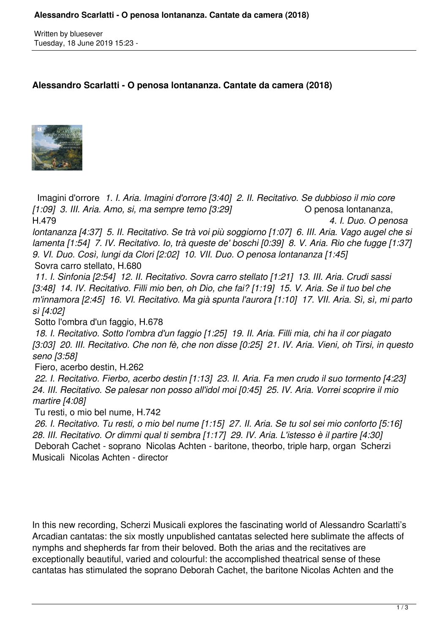Written by bluesever Tuesday, 18 June 2019 15:23 -

## **Alessandro Scarlatti - O penosa lontananza. Cantate da camera (2018)**



 Imagini d'orrore *1. I. Aria. Imagini d'orrore [3:40] 2. II. Recitativo. Se dubbioso il mio core [1:09] 3. III. Aria. Amo, si, ma sempre temo [3:29]* O penosa lontananza, H.479 *4. I. Duo. O penosa lontananza [4:37] 5. II. Recitativo. Se trà voi più soggiorno [1:07] 6. III. Aria. Vago augel che si lamenta [1:54] 7. IV. Recitativo. Io, trà queste de' boschi [0:39] 8. V. Aria. Rio che fugge [1:37] 9. VI. Duo. Così, lungi da Clori [2:02] 10. VII. Duo. O penosa lontananza [1:45]*

Sovra carro stellato, H.680

 *11. I. Sinfonia [2:54] 12. II. Recitativo. Sovra carro stellato [1:21] 13. III. Aria. Crudi sassi [3:48] 14. IV. Recitativo. Filli mio ben, oh Dio, che fai? [1:19] 15. V. Aria. Se il tuo bel che m'innamora [2:45] 16. VI. Recitativo. Ma già spunta l'aurora [1:10] 17. VII. Aria. Sì, sì, mi parto sì [4:02]*

Sotto l'ombra d'un faggio, H.678

 *18. I. Recitativo. Sotto l'ombra d'un faggio [1:25] 19. II. Aria. Filli mia, chi ha il cor piagato [3:03] 20. III. Recitativo. Che non fè, che non disse [0:25] 21. IV. Aria. Vieni, oh Tirsi, in questo seno [3:58]*

Fiero, acerbo destin, H.262

 *22. I. Recitativo. Fierbo, acerbo destin [1:13] 23. II. Aria. Fa men crudo il suo tormento [4:23] 24. III. Recitativo. Se palesar non posso all'idol moi [0:45] 25. IV. Aria. Vorrei scoprire il mio martire [4:08]*

Tu resti, o mio bel nume, H.742

 *26. I. Recitativo. Tu resti, o mio bel nume [1:15] 27. II. Aria. Se tu sol sei mio conforto [5:16] 28. III. Recitativo. Or dimmi qual ti sembra [1:17] 29. IV. Aria. L'istesso è il partire [4:30]*  Deborah Cachet - soprano Nicolas Achten - baritone, theorbo, triple harp, organ Scherzi Musicali Nicolas Achten - director

In this new recording, Scherzi Musicali explores the fascinating world of Alessandro Scarlatti's Arcadian cantatas: the six mostly unpublished cantatas selected here sublimate the affects of nymphs and shepherds far from their beloved. Both the arias and the recitatives are exceptionally beautiful, varied and colourful: the accomplished theatrical sense of these cantatas has stimulated the soprano Deborah Cachet, the baritone Nicolas Achten and the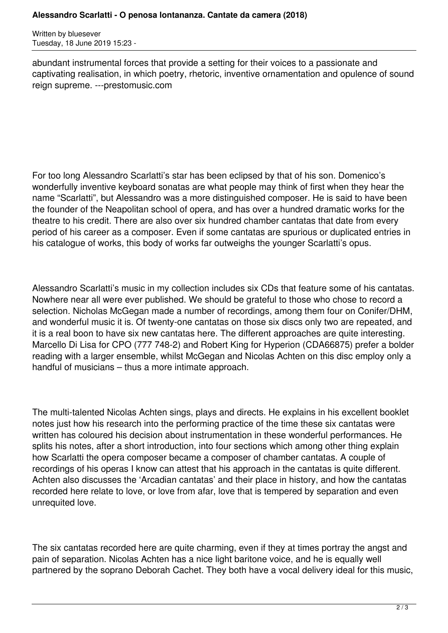Written by bluesever Tuesday, 18 June 2019 15:23 -

abundant instrumental forces that provide a setting for their voices to a passionate and captivating realisation, in which poetry, rhetoric, inventive ornamentation and opulence of sound reign supreme. ---prestomusic.com

For too long Alessandro Scarlatti's star has been eclipsed by that of his son. Domenico's wonderfully inventive keyboard sonatas are what people may think of first when they hear the name "Scarlatti", but Alessandro was a more distinguished composer. He is said to have been the founder of the Neapolitan school of opera, and has over a hundred dramatic works for the theatre to his credit. There are also over six hundred chamber cantatas that date from every period of his career as a composer. Even if some cantatas are spurious or duplicated entries in his catalogue of works, this body of works far outweighs the younger Scarlatti's opus.

Alessandro Scarlatti's music in my collection includes six CDs that feature some of his cantatas. Nowhere near all were ever published. We should be grateful to those who chose to record a selection. Nicholas McGegan made a number of recordings, among them four on Conifer/DHM, and wonderful music it is. Of twenty-one cantatas on those six discs only two are repeated, and it is a real boon to have six new cantatas here. The different approaches are quite interesting. Marcello Di Lisa for CPO (777 748-2) and Robert King for Hyperion (CDA66875) prefer a bolder reading with a larger ensemble, whilst McGegan and Nicolas Achten on this disc employ only a handful of musicians – thus a more intimate approach.

The multi-talented Nicolas Achten sings, plays and directs. He explains in his excellent booklet notes just how his research into the performing practice of the time these six cantatas were written has coloured his decision about instrumentation in these wonderful performances. He splits his notes, after a short introduction, into four sections which among other thing explain how Scarlatti the opera composer became a composer of chamber cantatas. A couple of recordings of his operas I know can attest that his approach in the cantatas is quite different. Achten also discusses the 'Arcadian cantatas' and their place in history, and how the cantatas recorded here relate to love, or love from afar, love that is tempered by separation and even unrequited love.

The six cantatas recorded here are quite charming, even if they at times portray the angst and pain of separation. Nicolas Achten has a nice light baritone voice, and he is equally well partnered by the soprano Deborah Cachet. They both have a vocal delivery ideal for this music,